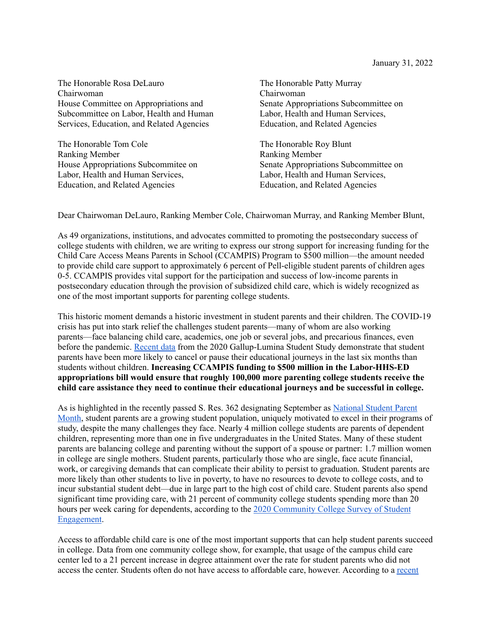The Honorable Rosa DeLauro Chairwoman House Committee on Appropriations and Subcommittee on Labor, Health and Human Services, Education, and Related Agencies

The Honorable Tom Cole Ranking Member House Appropriations Subcommitee on Labor, Health and Human Services, Education, and Related Agencies

The Honorable Patty Murray Chairwoman Senate Appropriations Subcommittee on Labor, Health and Human Services, Education, and Related Agencies

The Honorable Roy Blunt Ranking Member Senate Appropriations Subcommittee on Labor, Health and Human Services, Education, and Related Agencies

Dear Chairwoman DeLauro, Ranking Member Cole, Chairwoman Murray, and Ranking Member Blunt,

As 49 organizations, institutions, and advocates committed to promoting the postsecondary success of college students with children, we are writing to express our strong support for increasing funding for the Child Care Access Means Parents in School (CCAMPIS) Program to \$500 million—the amount needed to provide child care support to approximately 6 percent of Pell-eligible student parents of children ages 0-5. CCAMPIS provides vital support for the participation and success of low-income parents in postsecondary education through the provision of subsidized child care, which is widely recognized as one of the most important supports for parenting college students.

This historic moment demands a historic investment in student parents and their children. The COVID-19 crisis has put into stark relief the challenges student parents—many of whom are also working parents—face balancing child care, academics, one job or several jobs, and precarious finances, even before the pandemic. [Recent](https://news.gallup.com/opinion/gallup/328970/college-student-caregivers-likely-stop-classes.aspx) data from the 2020 Gallup-Lumina Student Study demonstrate that student parents have been more likely to cancel or pause their educational journeys in the last six months than students without children. **Increasing CCAMPIS funding to \$500 million in the Labor-HHS-ED appropriations bill would ensure that roughly 100,000 more parenting college students receive the child care assistance they need to continue their educational journeys and be successful in college.**

As is highlighted in the recently passed S. Res. 362 designating September as [National](https://www.congress.gov/bill/117th-congress/senate-resolution/362/text) Student Parent [Month](https://www.congress.gov/bill/117th-congress/senate-resolution/362/text), student parents are a growing student population, uniquely motivated to excel in their programs of study, despite the many challenges they face. Nearly 4 million college students are parents of dependent children, representing more than one in five undergraduates in the United States. Many of these student parents are balancing college and parenting without the support of a spouse or partner: 1.7 million women in college are single mothers. Student parents, particularly those who are single, face acute financial, work, or caregiving demands that can complicate their ability to persist to graduation. Student parents are more likely than other students to live in poverty, to have no resources to devote to college costs, and to incur substantial student debt—due in large part to the high cost of child care. Student parents also spend significant time providing care, with 21 percent of community college students spending more than 20 hours per week caring for dependents, according to the 2020 [Community](https://cccse.org/sites/default/files/SENSE_COVID.pdf) College Survey of Student [Engagement.](https://cccse.org/sites/default/files/SENSE_COVID.pdf)

Access to affordable child care is one of the most important supports that can help student parents succeed in college. Data from one community college show, for example, that usage of the campus child care center led to a 21 percent increase in degree attainment over the rate for student parents who did not access the center. Students often do not have access to affordable care, however. According to a [recent](https://hope4college.com/wp-content/uploads/2020/05/2019_ParentingStudentsReport.pdf)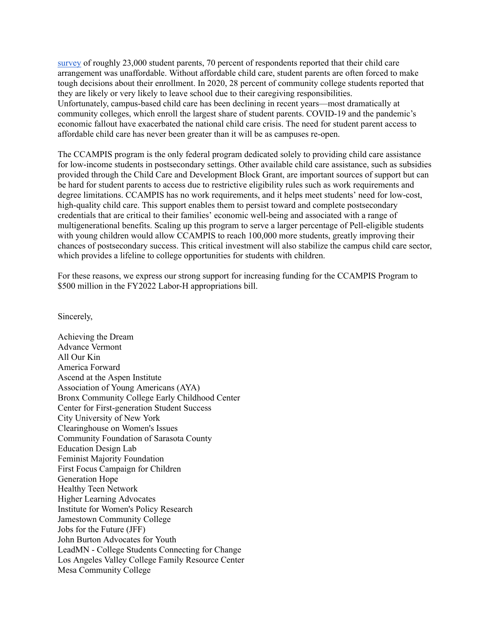[survey](https://hope4college.com/wp-content/uploads/2020/05/2019_ParentingStudentsReport.pdf) of roughly 23,000 student parents, 70 percent of respondents reported that their child care arrangement was unaffordable. Without affordable child care, student parents are often forced to make tough decisions about their enrollment. In 2020, 28 percent of community college students reported that they are likely or very likely to leave school due to their caregiving responsibilities. Unfortunately, campus-based child care has been declining in recent years—most dramatically at community colleges, which enroll the largest share of student parents. COVID-19 and the pandemic's economic fallout have exacerbated the national child care crisis. The need for student parent access to affordable child care has never been greater than it will be as campuses re-open.

The CCAMPIS program is the only federal program dedicated solely to providing child care assistance for low-income students in postsecondary settings. Other available child care assistance, such as subsidies provided through the Child Care and Development Block Grant, are important sources of support but can be hard for student parents to access due to restrictive eligibility rules such as work requirements and degree limitations. CCAMPIS has no work requirements, and it helps meet students' need for low-cost, high-quality child care. This support enables them to persist toward and complete postsecondary credentials that are critical to their families' economic well-being and associated with a range of multigenerational benefits. Scaling up this program to serve a larger percentage of Pell-eligible students with young children would allow CCAMPIS to reach 100,000 more students, greatly improving their chances of postsecondary success. This critical investment will also stabilize the campus child care sector, which provides a lifeline to college opportunities for students with children.

For these reasons, we express our strong support for increasing funding for the CCAMPIS Program to \$500 million in the FY2022 Labor-H appropriations bill.

Sincerely,

Achieving the Dream Advance Vermont All Our Kin America Forward Ascend at the Aspen Institute Association of Young Americans (AYA) Bronx Community College Early Childhood Center Center for First-generation Student Success City University of New York Clearinghouse on Women's Issues Community Foundation of Sarasota County Education Design Lab Feminist Majority Foundation First Focus Campaign for Children Generation Hope Healthy Teen Network Higher Learning Advocates Institute for Women's Policy Research Jamestown Community College Jobs for the Future (JFF) John Burton Advocates for Youth LeadMN - College Students Connecting for Change Los Angeles Valley College Family Resource Center Mesa Community College